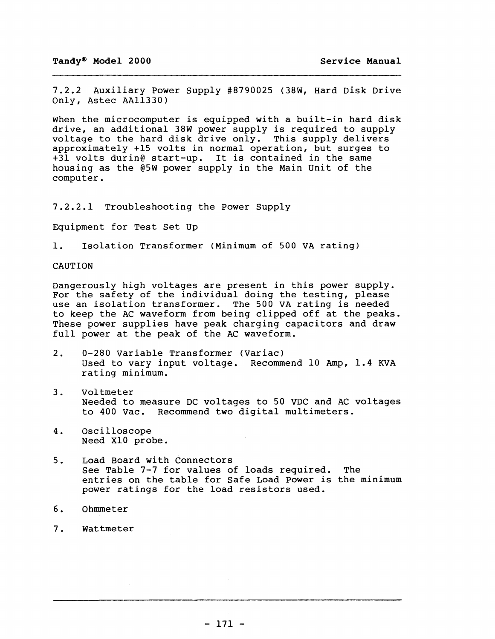7.2.2 Auxiliary Power Supply #8790025 (38W, Hard Disk Drive Only, Astec AAl1330)

When the microcomputer is equipped with a built-in hard disk drive, an additional 38W power supply is required to supply voltage to the hard disk drive only. This supply delivers approximately +15 volts in normal operation, but surges to +31 volts durin@ start-up. It is contained in the same housing as the @5W power supply in the Main unit of the computer.

7.2.2.1 Troubleshooting the Power Supply

Equipment for Test set Up

1. Isolation Transformer (Minimum of 500 VA rating)

### CAUTION

Dangerously high voltages are present in this power supply. For the safety of the individual doing the testing, please use an isolation transformer. The 500 VA rating is needed to keep the AC waveform from being clipped off at the peaks. These power supplies have peak charging capacitors and draw full power at the peak of the AC waveform.

- 2. 0-280 Variable Transformer (Variac) Used to vary input voltage. Recommend 10 Amp, 1.4 KVA rating minimum.
- 3. voltmeter Needed to measure DC voltages to 50 VDC and AC voltages to 400 Vac. Recommend two digital multimeters.
- 4. Oscilloscope Need XIO probe.
- 5. Load Board with Connectors See Table 7-7 for values of loads required. The entries on the table for Safe Load Power is the minimum power ratings for the load resistors used.
- 6. Ohmmeter
- 7. Wattmeter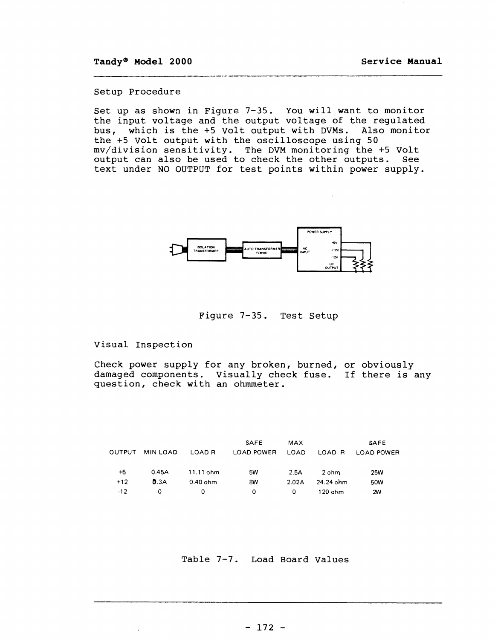#### setup Procedure

Set up as shown in Figure 7-35. You will want to monitor the input voltage and the output voltage of the regulated bus, which is the +5 Volt output with DVMs. Also monitor the +5 volt output with the oscilloscope using 50 mv/division sensitivity. The DVM monitoring the +5 Volt output can also be used to check the other outputs. See text under NO OUTPUT for test points within power supply.



Figure 7-35. Test Setup

#### Visual Inspection

 $\ddot{\phantom{a}}$ 

Check power supply for any broken, burned, or obviously damaged components. Visually check fuse. If there is any question, check with an ohmmeter.

|        |                 |             | <b>SAFE</b>       | <b>MAX</b> |           | <b>SAFE</b> |
|--------|-----------------|-------------|-------------------|------------|-----------|-------------|
| OUTPUT | <b>MIN LOAD</b> | LOAD R      | <b>LOAD POWER</b> | LOAD       | LOAD R    | LOAD POWER  |
|        |                 |             |                   |            |           |             |
| $+5$   | 0.45A           | $11.11$ ohm | 5W                | 2.5A       | 2 ohm     | 25W         |
| $+12$  | 0.3A            | $0.40$ ohm  | 8W                | 2.02A      | 24.24 ohm | 50W         |
| $-12$  | 0               | 0           | 0                 | 0          | $120$ ohm | 2W          |

Table 7-7. Load Board Values

- 172 -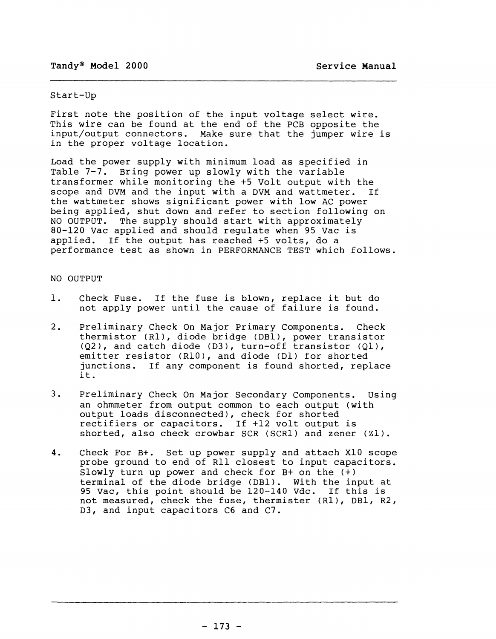### start-up

First note the position of the input voltage select wire. This wire can be found at the end of the PCB opposite the input/output connectors. Make sure that the jumper wire is in the proper voltage location.

Load the power supply with minimum load as specified in Table 7-7. Bring power up slowly with the variable transformer while monitoring the +5 Volt output with the scope and DVM and the input with a DVM and wattmeter. If the wattmeter shows significant power with low AC power being applied, shut down and refer to section following on NO OUTPUT. The supply should start with approximately 80-120 Vac applied and should regulate when 95 Vac is applied. If the output has reached +5 volts, do a performance test as shown in PERFORMANCE TEST which follows.

### NO OUTPUT

- 1. Check Fuse. If the fuse is blown, replace it but do not apply power until the cause of failure is found.
- 2. Preliminary Check On Major Primary Components. Check thermistor (Rl), diode bridge (OBI), power transistor  $(Q2)$ , and catch diode (D3), turn-off transistor  $(Q1)$ , emitter resistor (RIO), and diode (01) for shorted junctions. If any component is found shorted, replace it.
- 3. Preliminary Check On Major Secondary Components. Using an ohmmeter from output common to each output (with output loads disconnected), check for shorted rectifiers or capacitors. If +12 volt output is shorted, also check crowbar SCR (SCR1) and zener (Z1).
- 4. Check For B+. set up power supply and attach XIO scope probe ground to end of Rll closest to input capacitors. Slowly turn up power and check for B+ on the (+) terminal of the diode bridge (OBI). with the input at 95 Vac, this point should be 120-140 Vdc. If this is not measured, check the fuse, thermister (Rl), DBl, R2, D3, and input capacitors C6 and C7.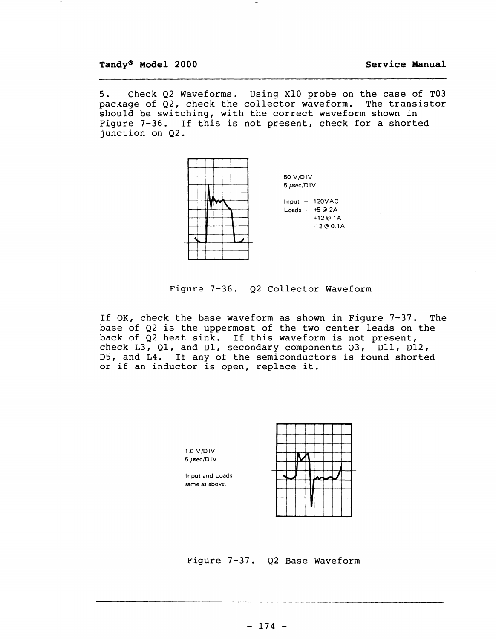5. Check Q2 Waveforms. Using XIO probe on the case of T03 package of Q2, check the collector waveform. The transistor should be switching, with the correct waveform shown in Figure 7-36. If this is not present, check for a shorted junction on Q2.



Figure 7-36. Q2 Collector Waveform

If OK, check the base waveform as shown in Figure 7-37. The base of Q2 is the uppermost of the two center leads on the back of Q2 heat sink. If this waveform is not present, check L3, Q1, and D1, secondary components Q3,  $\overline{D11}$ , D12, 05, and L4. If any of the semiconductors is found shorted or if an inductor is open, replace it.



Figure 7-37. Q2 Base Waveform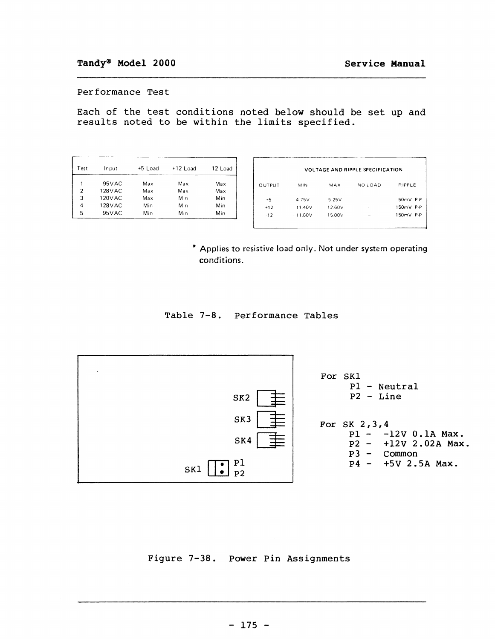## **Performance Test**

**Each of the test conditions noted below should be set up and results noted to be within the limits specified.** 

| Test | Input    | +5 Load | $+12$ Load | $-12$ Load |
|------|----------|---------|------------|------------|
|      | 95 V AC  | Max     | Max        | Max        |
| 2    | 128 V AC | Max     | Max        | Max        |
| 3    | 120VAC   | Max     | Min        | Min        |
| 4    | 128 V AC | Min     | Min        | Min        |
| 5    | 95 V AC  | Min     | Min        | Min        |

|                                 | <b>VOLTAGE AND RIPPLE SPECIFICATION</b> |        |         |            |
|---------------------------------|-----------------------------------------|--------|---------|------------|
| OUTPUT                          | MIN                                     | MAX    | NO LOAD | RIPPLE     |
| $+5$                            | 4 75V                                   | 5.25V  |         | $50mV$ P-P |
| $+12$                           | 11.40V                                  | 12.60V |         | 150mV P-P  |
| $-12$                           | $-11.00V$                               | 15.00V |         | 150mV P-P  |
| Max<br>Max<br>Min<br>Min<br>Min |                                         |        |         |            |

**\* Applies to resistive load only. Not under system operating conditions.** 

**Table 7-8. Performance Tables** 



# **Figure 7-38. Power Pin Assignments**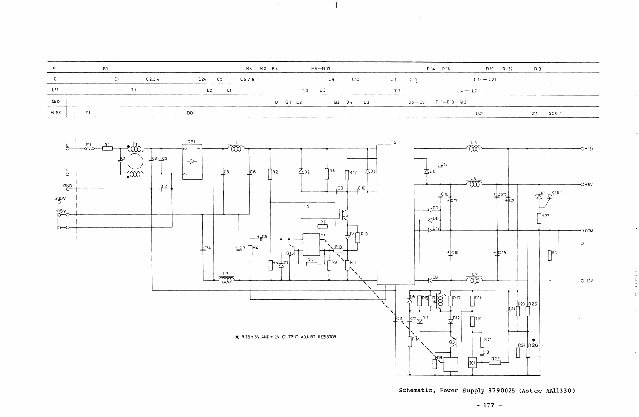| R           | R <sub>1</sub>     |                      | R4 R2 R5<br>$R6 - R13$ | $R14 - R18$                 |
|-------------|--------------------|----------------------|------------------------|-----------------------------|
|             | -C1<br>$C$ 2, 3, 4 | C 24 C 5<br>CG, 7, 8 | C10<br>C9              | $C_1$ 11<br>C <sub>12</sub> |
| L/T         |                    | $\Box$               | L <sub>3</sub>         | T 2<br>$4 -$                |
| Q/D         |                    |                      | D1 Q1 D2<br>Q2 D4 D3   | $D5 - D9$ $D11 - D13$ $Q3$  |
| <b>MISC</b> | E 1                | DB1                  |                        |                             |

 $\sim 10^{-10}$ 



 $\top$ 



**Schematic, Power Supply 8790025 (Astec AAl1330)** 

**- 177 -**

L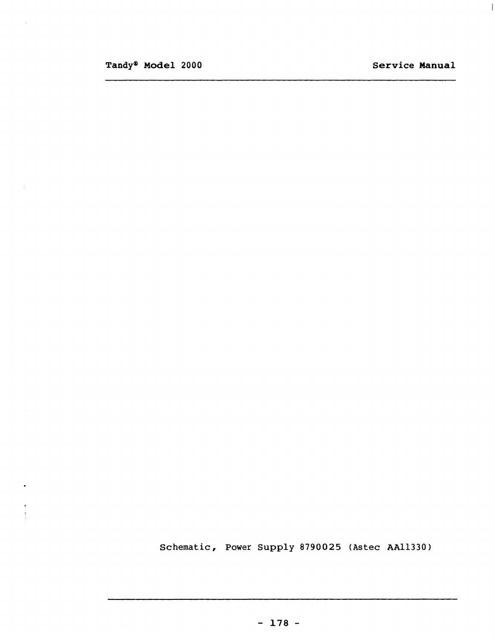$\pm 1$ 

 $\bullet$ 

 $\frac{4}{3}$ 

Schematic, Power Supply 8790025 (Astec AAl1330)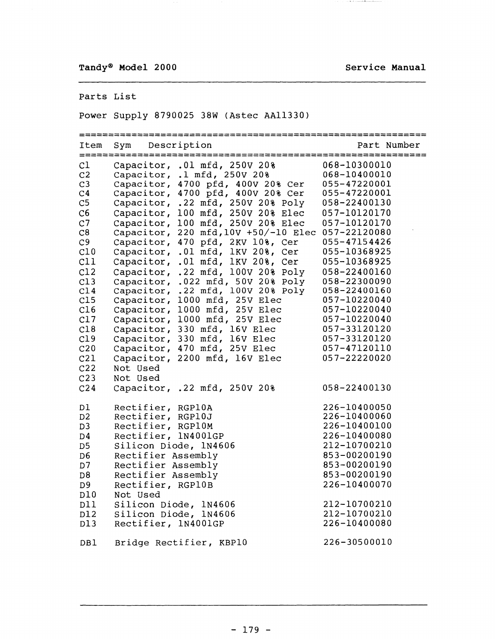# Parts List

Power Supply 8790025 38W (Astec AAl1330)

|                 | ================ |                                                                        | ====================================== |
|-----------------|------------------|------------------------------------------------------------------------|----------------------------------------|
| Item            | Sym              | Description                                                            | Part Number                            |
| C1              |                  | Capacitor, .01 mfd, 250V 20%                                           | 068-10300010                           |
| C <sub>2</sub>  |                  | Capacitor, .1 mfd, 250V 20%                                            | 068-10400010                           |
| C <sub>3</sub>  |                  | Capacitor, 4700 pfd, 400V 20% Cer                                      | 055-47220001                           |
| C <sub>4</sub>  |                  | Capacitor, 4700 pfd, 400V 20% Cer                                      | 055-47220001                           |
| C <sub>5</sub>  |                  | Capacitor, .22 mfd, 250V 20% Poly                                      | 058-22400130                           |
| C6              |                  | Capacitor, $100$ mfd, $250V$ $208$ Elec                                | 057-10120170                           |
| C <sub>7</sub>  |                  | Capacitor, 100 mfd, 250V 20% Elec                                      | 057-10120170                           |
| C8              |                  | Capacitor, 220 mfd, 10V +50/-10 Elec 057-22120080                      |                                        |
| C9              |                  | Capacitor, 470 pfd, 2KV 10%, Cer                                       | 055-47154426                           |
| C10             |                  | .01 mfd, 1KV 20%, Cer<br>Capacitor,                                    | 055-10368925                           |
| C11             |                  | Capacitor,<br>.01 mfd, 1KV 20%, Cer                                    | 055-10368925                           |
| C12             |                  | .22 mfd, 100V 20% Poly<br>Capacitor,                                   | 058-22400160                           |
| C13             |                  |                                                                        | 058-22300090                           |
| C14             |                  | Capacitor, .022 mfd, 50V 20% Poly<br>Capacitor, .22 mfd, 100V 20% Poly | 058-22400160                           |
| C15             |                  | Capacitor, 1000 mfd, 25V Elec                                          | 057-10220040                           |
| C16             |                  | Capacitor, 1000 mfd, 25V Elec                                          | 057-10220040                           |
| C17             |                  | Capacitor, 1000 mfd, 25V Elec                                          | 057-10220040                           |
| C18             |                  | Capacitor, 330 mfd, 16V Elec                                           | 057-33120120                           |
| C19             |                  | Capacitor, 330 mfd, 16V Elec                                           | 057-33120120                           |
| C <sub>20</sub> |                  | Capacitor, 470 mfd, 25V Elec                                           | 057-47120110                           |
| C21             |                  | Capacitor, 2200 mfd, 16V Elec                                          | 057-22220020                           |
| C <sub>22</sub> | Not Used         |                                                                        |                                        |
| C <sub>23</sub> |                  |                                                                        |                                        |
|                 | Not Used         |                                                                        |                                        |
| C <sub>24</sub> |                  | Capacitor, .22 mfd, 250V 20%                                           | 058-22400130                           |
| Dl              |                  | Rectifier, RGP10A                                                      | 226-10400050                           |
| D <sub>2</sub>  |                  | Rectifier, RGP10J                                                      | 226-10400060                           |
| D <sub>3</sub>  |                  | Rectifier, RGP10M                                                      | 226-10400100                           |
| D4              |                  | Rectifier, 1N4001GP                                                    | 226-10400080                           |
| D <sub>5</sub>  |                  | Silicon Diode, 1N4606                                                  | 212-10700210                           |
| D <sub>6</sub>  |                  | Rectifier Assembly                                                     | 853-00200190                           |
| D7              |                  | Rectifier Assembly                                                     | 853-00200190                           |
| D <sub>8</sub>  |                  | Rectifier Assembly                                                     | 853-00200190                           |
| D <sub>9</sub>  |                  | Rectifier, RGP10B                                                      | 226-10400070                           |
| D10             | Not Used         |                                                                        |                                        |
| D11             |                  | Silicon Diode, 1N4606                                                  | 212-10700210                           |
| D12             |                  | Silicon Diode, 1N4606                                                  | 212-10700210                           |
| D13             |                  | Rectifier, 1N4001GP                                                    | 226-10400080                           |
| DB1             |                  | Bridge Rectifier, KBP10                                                | 226-30500010                           |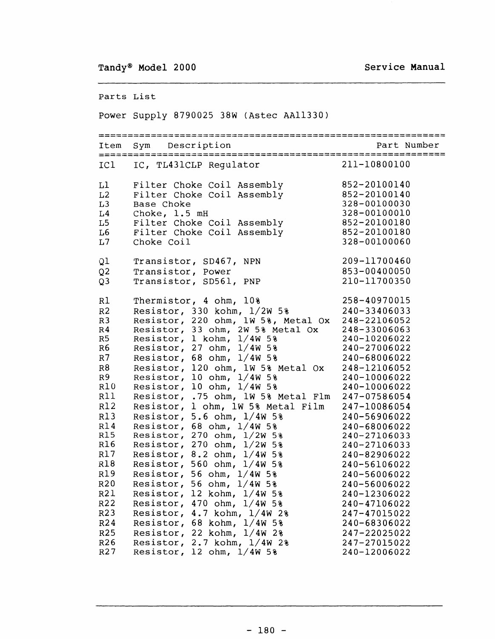Parts List

#### Power Supply 8790025 38W (Astec AAl1330)

===:======================================================== Item Sym Description ============================================================ ICI Ll  $L2$ L3 L4 L5 L6  $T<sub>1</sub>$ Ql Q2 Q3 Rl R2 R3 R4 R5 R6 R7 R8 R9 RIO Rl1 R12 R13 R14 R15 R16 R17 R18 R19 R20 R21 R22 R23 R24 R25 R26 R27 IC, TL431CLP Regulator Filter Choke Coil Assembly Filter Choke Coil Assembly Base Choke Choke, 1.5 mH Filter Choke Coil Assembly Filter Choke Coil Assembly Choke Coil Transistor, 80467, NPN Transistor, Power Transistor, 80561, PNP Thermistor, 4 ohm, 10% Resistor, 330 kohm, 1/2W 5% Resistor, 220 ohm, lW 5%, Metal Ox Resistor, 33 ohm, 2W 5% Metal Ox Resistor, 1 kohm, 1/4W 5% Resistor, 27 ohm,  $1/4W$  5% Resistor, 68 ohm, 1/4W 5% Resistor, 120 ohm, lW 5% Metal Ox Resistor,  $10$  ohm,  $1/4W$  5% Resistor, 10 ohm, 1/4W 5% Resistor, .75 ohm, lW 5% Metal Flm Resistor, 1 ohm, lW 5% Metal Film Resistor,  $5.6$  ohm,  $1/4W$  5% Resistor, 68 ohm, 1/4W 5% Resistor, 270 ohm, 1/2W 5% Resistor, 270 ohm, 1/2W 5% Resistor, 8.2 ohm, 1/4W 5% Resistor, 560 ohm, 1/4W 5% Resistor, 56 ohm,  $1/4W$  5% Resistor, 56 ohm,  $1/4W$  5% Resistor, 12 kohm, 1/4W 5% Resistor, 470 ohm, 1/4W 5% Resistor, 4.7 kohm, 1/4W 2% Resistor, 68 kohm, 1/4W 5% Resistor, 22 kohm, 1/4W 2% Resistor, 2.7 kohm, 1/4W 2% Resistor,  $12$  ohm,  $1/4W$  5% 211-10800100 852-20100140 852-20100140 328-00100030 328-00100010 852-20100180 852-20100180 328-00100060 209-11700460 853-00400050 210-11700350 258-40970015 240-33406033 248-22106052 248-33006063 240-10206022 240-27006022 240-68006022 248-12106052 240-10006022 240-10006022 247-07586054 247-10086054 240-56906022 240-68006022 240-27106033 240-27106033 240-82906022 240-56106022 240-56006022 240-56006022 240-12306022 240-47106022 247-47015022 240-68306022 247-22025022 247-27015022 240-12006022